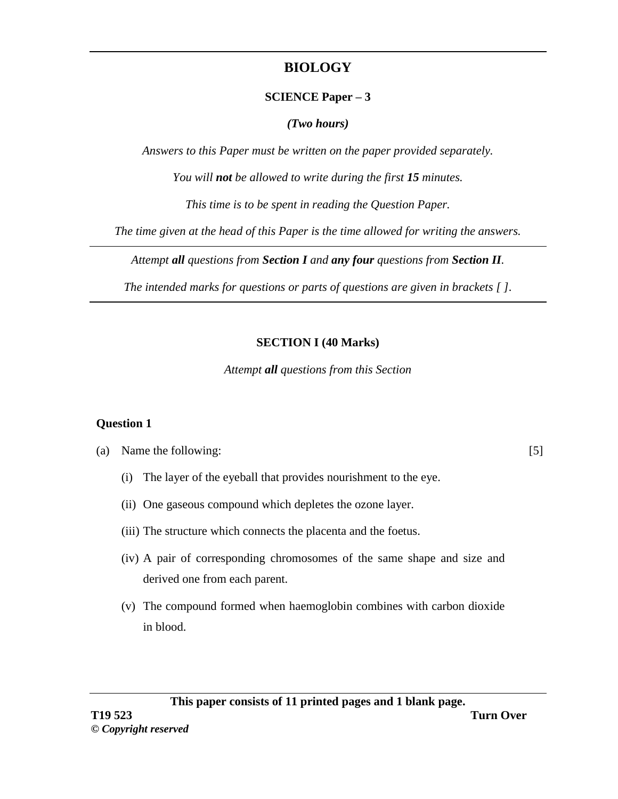# **BIOLOGY**

## **SCIENCE Paper – 3**

## *(Two hours)*

*Answers to this Paper must be written on the paper provided separately.*

*You will not be allowed to write during the first 15 minutes.*

*This time is to be spent in reading the Question Paper.*

*The time given at the head of this Paper is the time allowed for writing the answers.*

*Attempt all questions from Section I and any four questions from Section II.*

*The intended marks for questions or parts of questions are given in brackets [ ].*

# **SECTION I (40 Marks)**

*Attempt all questions from this Section* 

## **Question 1**

(a) Name the following: [5]

- (i) The layer of the eyeball that provides nourishment to the eye.
- (ii) One gaseous compound which depletes the ozone layer.
- (iii) The structure which connects the placenta and the foetus.
- (iv) A pair of corresponding chromosomes of the same shape and size and derived one from each parent.
- (v) The compound formed when haemoglobin combines with carbon dioxide in blood.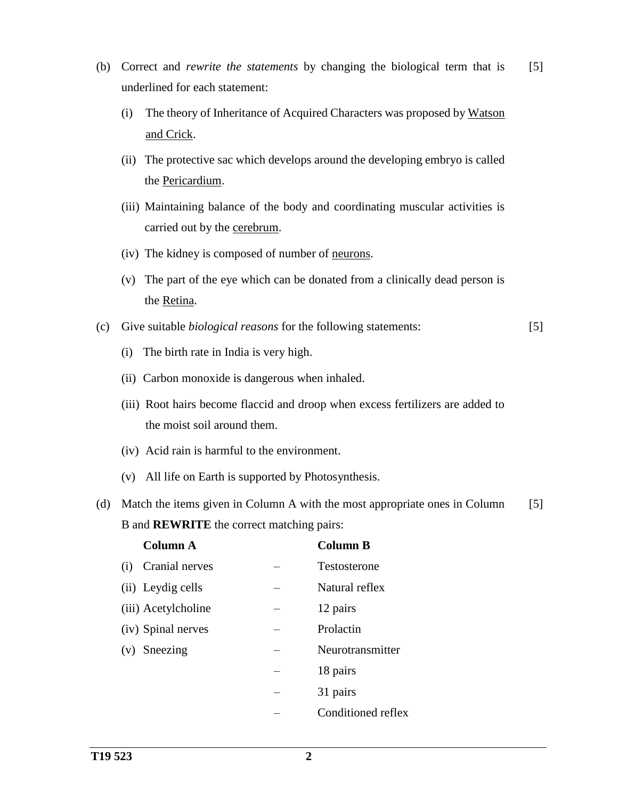- (b) Correct and *rewrite the statements* by changing the biological term that is underlined for each statement: [5]
	- (i) The theory of Inheritance of Acquired Characters was proposed by Watson and Crick.
	- (ii) The protective sac which develops around the developing embryo is called the Pericardium.
	- (iii) Maintaining balance of the body and coordinating muscular activities is carried out by the cerebrum.
	- (iv) The kidney is composed of number of neurons.
	- (v) The part of the eye which can be donated from a clinically dead person is the Retina.
- (c) Give suitable *biological reasons* for the following statements: [5]
	- (i) The birth rate in India is very high.
	- (ii) Carbon monoxide is dangerous when inhaled.
	- (iii) Root hairs become flaccid and droop when excess fertilizers are added to the moist soil around them.
	- (iv) Acid rain is harmful to the environment.
	- (v) All life on Earth is supported by Photosynthesis.
- (d) Match the items given in Column A with the most appropriate ones in Column B and **REWRITE** the correct matching pairs: [5]

| <b>Column A</b>       | <b>Column B</b>    |
|-----------------------|--------------------|
| Cranial nerves<br>(i) | Testosterone       |
| (ii) Leydig cells     | Natural reflex     |
| (iii) Acetylcholine   | 12 pairs           |
| (iv) Spinal nerves    | Prolactin          |
| $(v)$ Sneezing        | Neurotransmitter   |
|                       | 18 pairs           |
|                       | 31 pairs           |
|                       | Conditioned reflex |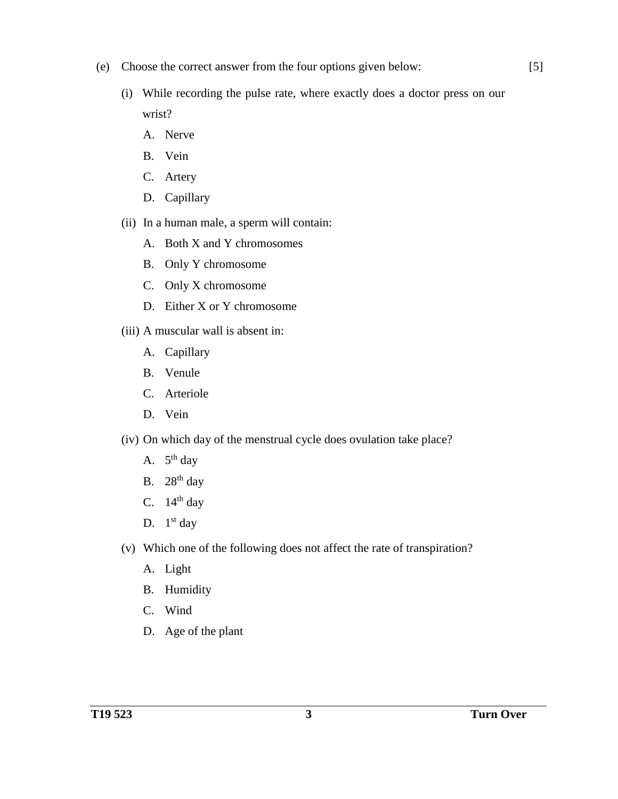- (e) Choose the correct answer from the four options given below:
	- (i) While recording the pulse rate, where exactly does a doctor press on our wrist?
		- A. Nerve
		- B. Vein
		- C. Artery
		- D. Capillary
	- (ii) In a human male, a sperm will contain:
		- A. Both X and Y chromosomes
		- B. Only Y chromosome
		- C. Only X chromosome
		- D. Either X or Y chromosome
	- (iii) A muscular wall is absent in:
		- A. Capillary
		- B. Venule
		- C. Arteriole
		- D. Vein
	- (iv) On which day of the menstrual cycle does ovulation take place?
		- A.  $5<sup>th</sup>$  day
		- B.  $28<sup>th</sup>$  day
		- C.  $14<sup>th</sup>$  day
		- D.  $1<sup>st</sup>$  day
	- (v) Which one of the following does not affect the rate of transpiration?
		- A. Light
		- B. Humidity
		- C. Wind
		- D. Age of the plant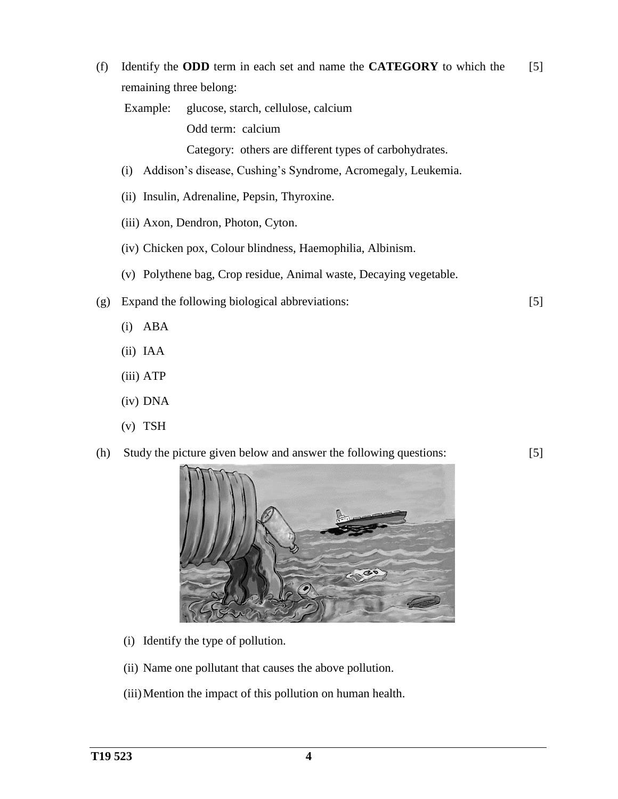(f) Identify the **ODD** term in each set and name the **CATEGORY** to which the remaining three belong: [5]

Example: glucose, starch, cellulose, calcium Odd term: calcium

Category: others are different types of carbohydrates.

- (i) Addison's disease, Cushing's Syndrome, Acromegaly, Leukemia.
- (ii) Insulin, Adrenaline, Pepsin, Thyroxine.
- (iii) Axon, Dendron, Photon, Cyton.
- (iv) Chicken pox, Colour blindness, Haemophilia, Albinism.
- (v) Polythene bag, Crop residue, Animal waste, Decaying vegetable.
- (g) Expand the following biological abbreviations:
	- (i) ABA
	- (ii) IAA
	- (iii) ATP
	- (iv) DNA
	- (v) TSH

### (h) Study the picture given below and answer the following questions:

[5]



- (i) Identify the type of pollution.
- (ii) Name one pollutant that causes the above pollution.
- (iii)Mention the impact of this pollution on human health.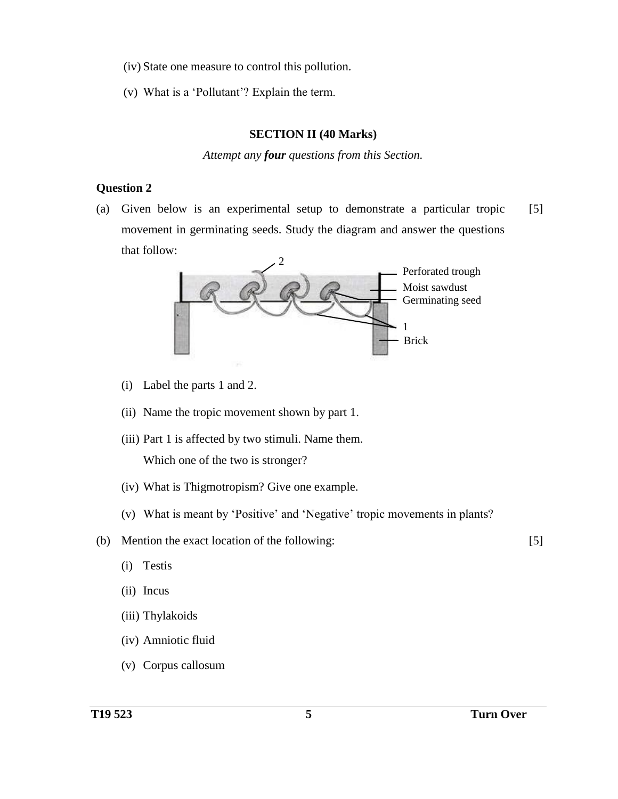- (iv) State one measure to control this pollution.
- (v) What is a 'Pollutant'? Explain the term.

#### **SECTION II (40 Marks)**

*Attempt any four questions from this Section.*

#### **Question 2**

(a) Given below is an experimental setup to demonstrate a particular tropic movement in germinating seeds. Study the diagram and answer the questions that follow: [5]



- (i) Label the parts 1 and 2.
- (ii) Name the tropic movement shown by part 1.
- (iii) Part 1 is affected by two stimuli. Name them. Which one of the two is stronger?
- (iv) What is Thigmotropism? Give one example.
- (v) What is meant by 'Positive' and 'Negative' tropic movements in plants?
- (b) Mention the exact location of the following:
	- (i) Testis
	- (ii) Incus
	- (iii) Thylakoids
	- (iv) Amniotic fluid
	- (v) Corpus callosum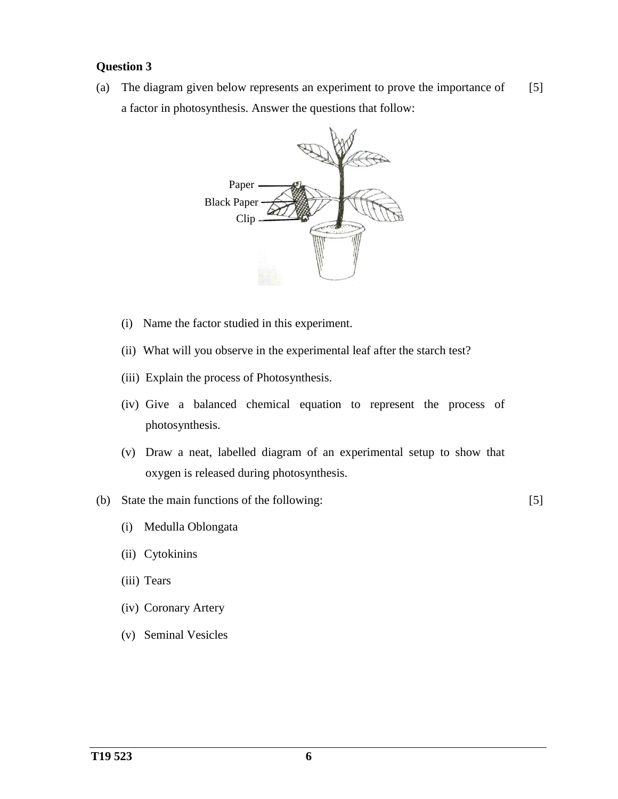#### **Question 3**

(a) The diagram given below represents an experiment to prove the importance of a factor in photosynthesis. Answer the questions that follow: [5]



- (i) Name the factor studied in this experiment.
- (ii) What will you observe in the experimental leaf after the starch test?
- (iii) Explain the process of Photosynthesis.
- (iv) Give a balanced chemical equation to represent the process of photosynthesis.
- (v) Draw a neat, labelled diagram of an experimental setup to show that oxygen is released during photosynthesis.
- (b) State the main functions of the following:

- (i) Medulla Oblongata
- (ii) Cytokinins
- (iii) Tears
- (iv) Coronary Artery
- (v) Seminal Vesicles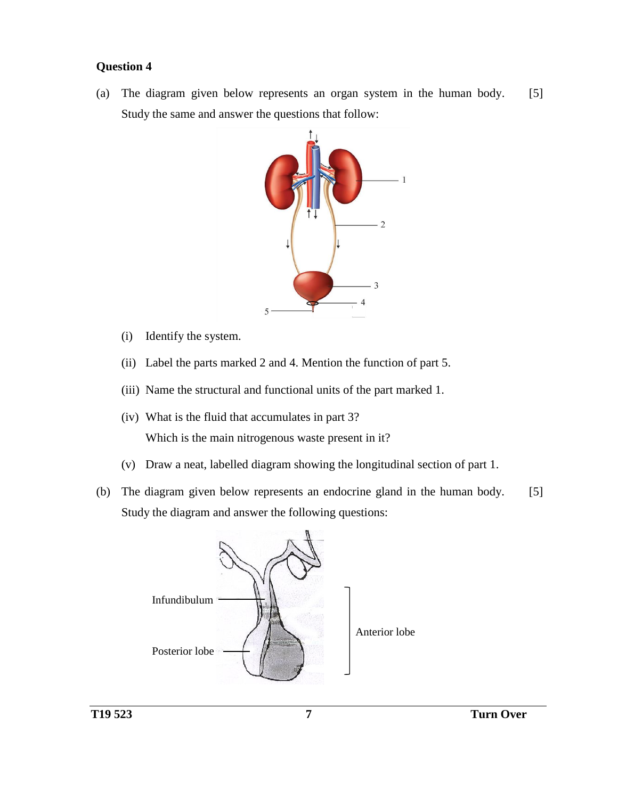### **Question 4**

(a) The diagram given below represents an organ system in the human body. Study the same and answer the questions that follow: [5]



- (i) Identify the system.
- (ii) Label the parts marked 2 and 4. Mention the function of part 5.
- (iii) Name the structural and functional units of the part marked 1.
- (iv) What is the fluid that accumulates in part 3? Which is the main nitrogenous waste present in it?
- (v) Draw a neat, labelled diagram showing the longitudinal section of part 1.
- (b) The diagram given below represents an endocrine gland in the human body. Study the diagram and answer the following questions: [5]

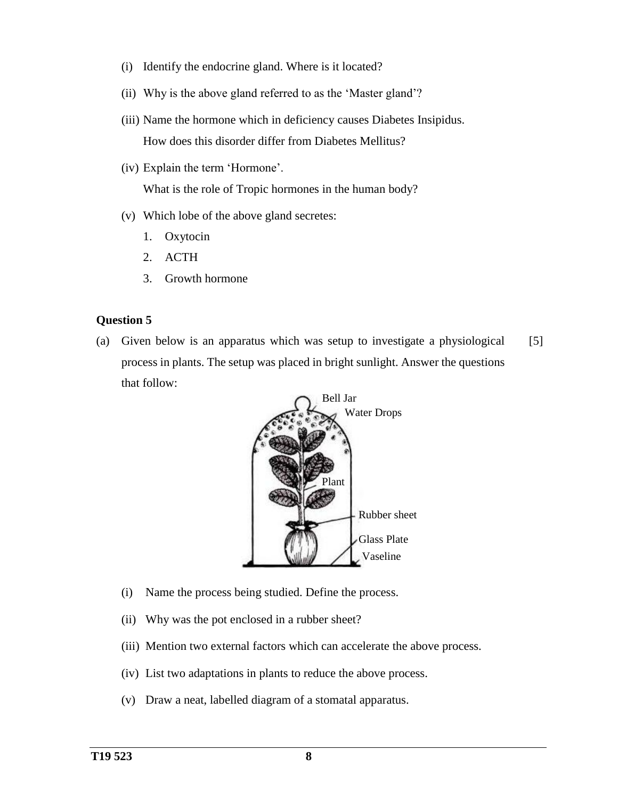- (i) Identify the endocrine gland. Where is it located?
- (ii) Why is the above gland referred to as the 'Master gland'?
- (iii) Name the hormone which in deficiency causes Diabetes Insipidus. How does this disorder differ from Diabetes Mellitus?
- (iv) Explain the term 'Hormone'.

What is the role of Tropic hormones in the human body?

- (v) Which lobe of the above gland secretes:
	- 1. Oxytocin
	- 2. ACTH
	- 3. Growth hormone

#### **Question 5**

(a) Given below is an apparatus which was setup to investigate a physiological process in plants. The setup was placed in bright sunlight. Answer the questions that follow: [5]



- (i) Name the process being studied. Define the process.
- (ii) Why was the pot enclosed in a rubber sheet?
- (iii) Mention two external factors which can accelerate the above process.
- (iv) List two adaptations in plants to reduce the above process.
- (v) Draw a neat, labelled diagram of a stomatal apparatus.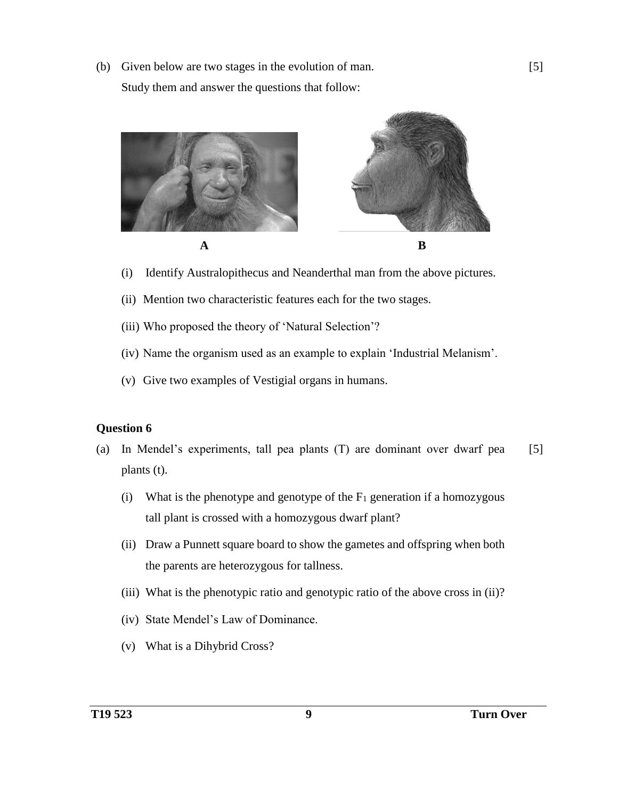(b) Given below are two stages in the evolution of man. Study them and answer the questions that follow:



- (i) Identify Australopithecus and Neanderthal man from the above pictures.
- (ii) Mention two characteristic features each for the two stages.
- (iii) Who proposed the theory of 'Natural Selection'?
- (iv) Name the organism used as an example to explain 'Industrial Melanism'.
- (v) Give two examples of Vestigial organs in humans.

#### **Question 6**

- (a) In Mendel's experiments, tall pea plants (T) are dominant over dwarf pea plants (t). [5]
	- (i) What is the phenotype and genotype of the  $F_1$  generation if a homozygous tall plant is crossed with a homozygous dwarf plant?
	- (ii) Draw a Punnett square board to show the gametes and offspring when both the parents are heterozygous for tallness.
	- (iii) What is the phenotypic ratio and genotypic ratio of the above cross in (ii)?
	- (iv) State Mendel's Law of Dominance.
	- (v) What is a Dihybrid Cross?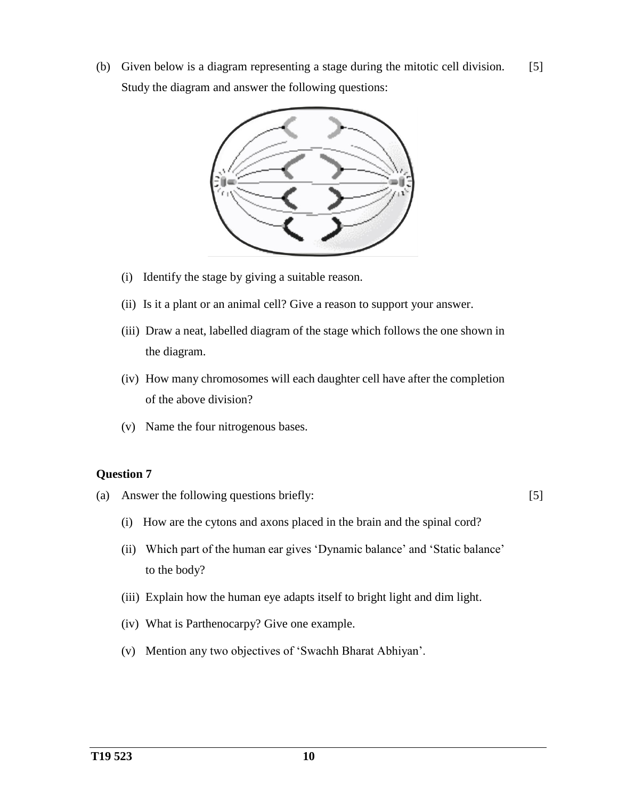(b) Given below is a diagram representing a stage during the mitotic cell division. Study the diagram and answer the following questions: [5]



- (i) Identify the stage by giving a suitable reason.
- (ii) Is it a plant or an animal cell? Give a reason to support your answer.
- (iii) Draw a neat, labelled diagram of the stage which follows the one shown in the diagram.
- (iv) How many chromosomes will each daughter cell have after the completion of the above division?
- (v) Name the four nitrogenous bases.

### **Question 7**

(a) Answer the following questions briefly:

- (i) How are the cytons and axons placed in the brain and the spinal cord?
- (ii) Which part of the human ear gives 'Dynamic balance' and 'Static balance' to the body?
- (iii) Explain how the human eye adapts itself to bright light and dim light.
- (iv) What is Parthenocarpy? Give one example.
- (v) Mention any two objectives of 'Swachh Bharat Abhiyan'.